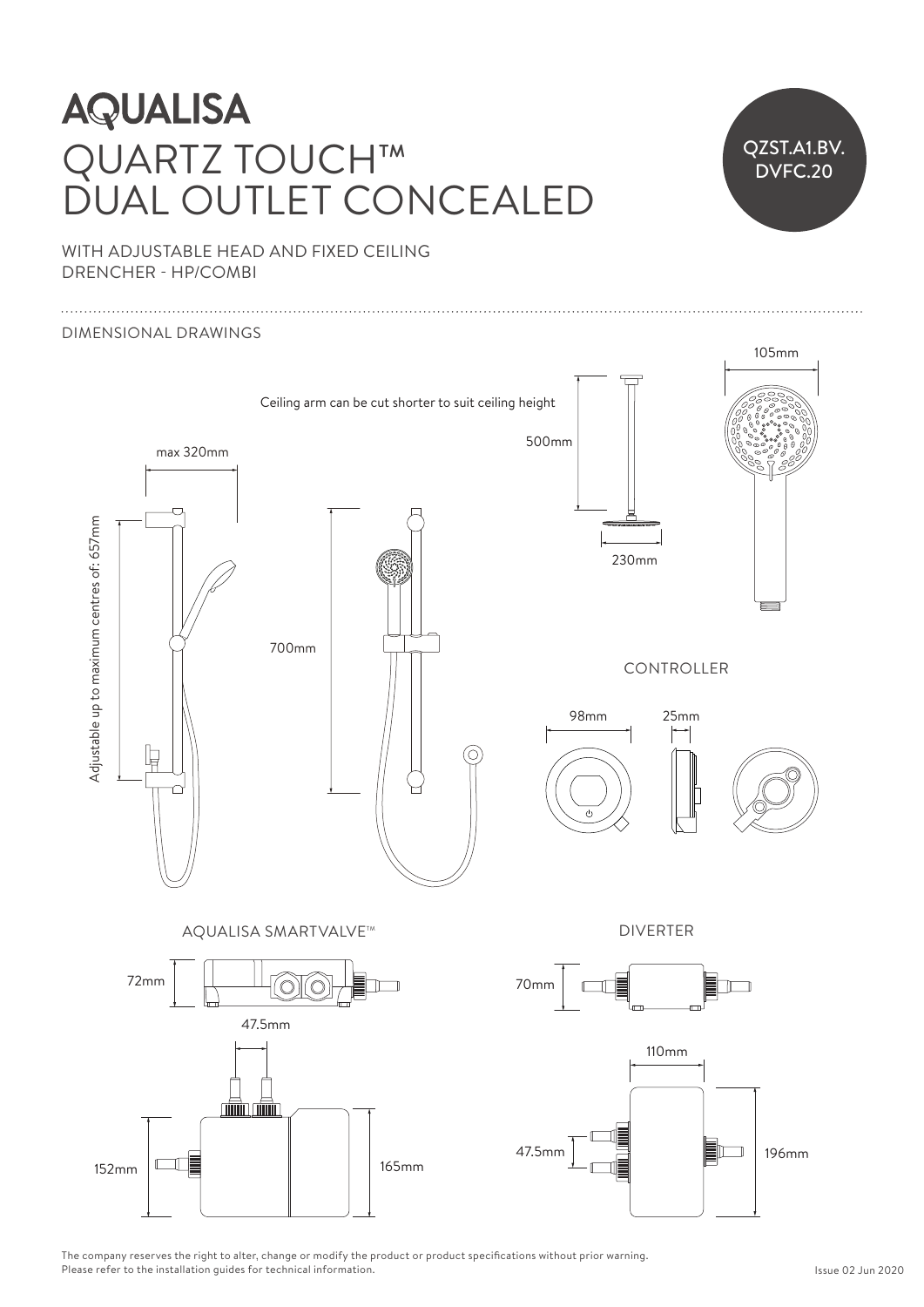## **AQUALISA** QUARTZ TOUCH™ DUAL OUTLET CONCEALED



WITH ADJUSTABLE HEAD AND FIXED CEILING DRENCHER - HP/COMBI Ceiling arm can be cut shorter to suit ceiling height



The company reserves the right to alter, change or modify the product or product specifications without prior warning. Please refer to the installation guides for technical information.